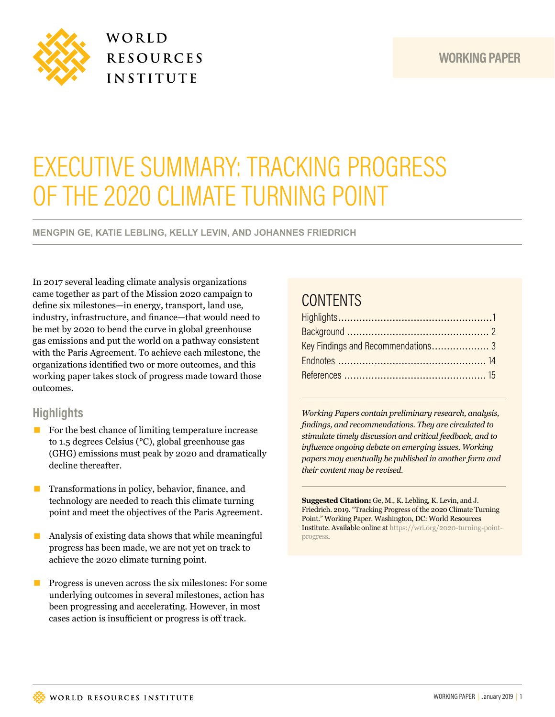



## WORLD **RESOURCES** INSTITUTE

# EXECUTIVE SUMMARY: TRACKING PROGRESS OF THE 2020 CLIMATE TURNING POINT

**MENGPIN GE, KATIE LEBLING, KELLY LEVIN, AND JOHANNES FRIEDRICH** 

In 2017 several leading climate analysis organizations came together as part of the Mission 2020 campaign to defne six milestones—in energy, transport, land use, industry, infrastructure, and fnance—that would need to be met by 2020 to bend the curve in global greenhouse gas emissions and put the world on a pathway consistent with the Paris Agreement. To achieve each milestone, the organizations identifed two or more outcomes, and this working paper takes stock of progress made toward those outcomes.

#### **Highlights**

- For the best chance of limiting temperature increase to 1.5 degrees Celsius (°C), global greenhouse gas (GHG) emissions must peak by 2020 and dramatically decline thereafter.
- **Transformations in policy, behavior, finance, and** technology are needed to reach this climate turning point and meet the objectives of the Paris Agreement.
- $\blacksquare$  Analysis of existing data shows that while meaningful progress has been made, we are not yet on track to achieve the 2020 climate turning point.
- **Progress is uneven across the six milestones: For some** underlying outcomes in several milestones, action has been progressing and accelerating. However, in most cases action is insufficient or progress is off track.

### **CONTENTS**

*Working Papers contain preliminary research, analysis, fndings, and recommendations. They are circulated to stimulate timely discussion and critical feedback, and to infuence ongoing debate on emerging issues. Working papers may eventually be published in another form and their content may be revised.*

**Suggested Citation:** Ge, M., K. Lebling, K. Levin, and J. Friedrich. 2019. "Tracking Progress of the 2020 Climate Turning Point." Working Paper. Washington, DC: World Resources Institute. Available online at https://wri.org/2020-turning-pointprogress.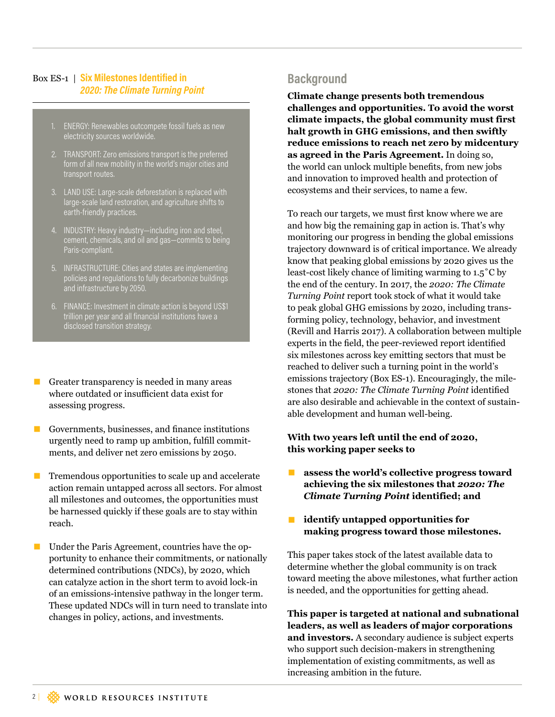#### Box ES-1 | **Six Milestones Identified in**  *2020: The Climate Turning Point*

- 1. ENERGY: Renewables outcompete fossil fuels as new electricity sources worldwide.
- 2. TRANSPORT: Zero emissions transport is the preferred form of all new mobility in the world's major cities and transport routes.
- 3. LAND USE: Large-scale deforestation is replaced with large-scale land restoration, and agriculture shifts to earth-friendly practices.
- 4. INDUSTRY: Heavy industry—including iron and steel, cement, chemicals, and oil and gas—commits to being Paris-compliant.
- 5. INFRASTRUCTURE: Cities and states are implementing policies and regulations to fully decarbonize buildings and infrastructure by 2050.
- 6. FINANCE: Investment in climate action is beyond US\$1 trillion per year and all financial institutions have a disclosed transition strategy.
- Greater transparency is needed in many areas where outdated or insufficient data exist for assessing progress.
- Governments, businesses, and finance institutions urgently need to ramp up ambition, fulfll commitments, and deliver net zero emissions by 2050.
- $\blacksquare$  Tremendous opportunities to scale up and accelerate action remain untapped across all sectors. For almost all milestones and outcomes, the opportunities must be harnessed quickly if these goals are to stay within reach.
- Under the Paris Agreement, countries have the opportunity to enhance their commitments, or nationally determined contributions (NDCs), by 2020, which can catalyze action in the short term to avoid lock-in of an emissions-intensive pathway in the longer term. These updated NDCs will in turn need to translate into changes in policy, actions, and investments.

### **Background**

**Climate change presents both tremendous challenges and opportunities. To avoid the worst climate impacts, the global community must first halt growth in GHG emissions, and then swiftly reduce emissions to reach net zero by midcentury as agreed in the Paris Agreement.** In doing so, the world can unlock multiple benefts, from new jobs and innovation to improved health and protection of ecosystems and their services, to name a few.

To reach our targets, we must frst know where we are and how big the remaining gap in action is. That's why monitoring our progress in bending the global emissions trajectory downward is of critical importance. We already know that peaking global emissions by 2020 gives us the least-cost likely chance of limiting warming to 1.5˚C by the end of the century. In 2017, the *2020: The Climate Turning Point* report took stock of what it would take to peak global GHG emissions by 2020, including transforming policy, technology, behavior, and investment (Revill and Harris 2017). A collaboration between multiple experts in the feld, the peer-reviewed report identifed six milestones across key emitting sectors that must be reached to deliver such a turning point in the world's emissions trajectory (Box ES-1). Encouragingly, the milestones that *2020: The Climate Turning Point* identifed are also desirable and achievable in the context of sustainable development and human well-being.

#### **With two years left until the end of 2020, this working paper seeks to**

- **■** assess the world's collective progress toward **achieving the six milestones that** *2020: The Climate Turning Point* **identified; and**
- **■ identify untapped opportunities for making progress toward those milestones.**

This paper takes stock of the latest available data to determine whether the global community is on track toward meeting the above milestones, what further action is needed, and the opportunities for getting ahead.

**This paper is targeted at national and subnational leaders, as well as leaders of major corporations and investors.** A secondary audience is subject experts who support such decision-makers in strengthening implementation of existing commitments, as well as increasing ambition in the future.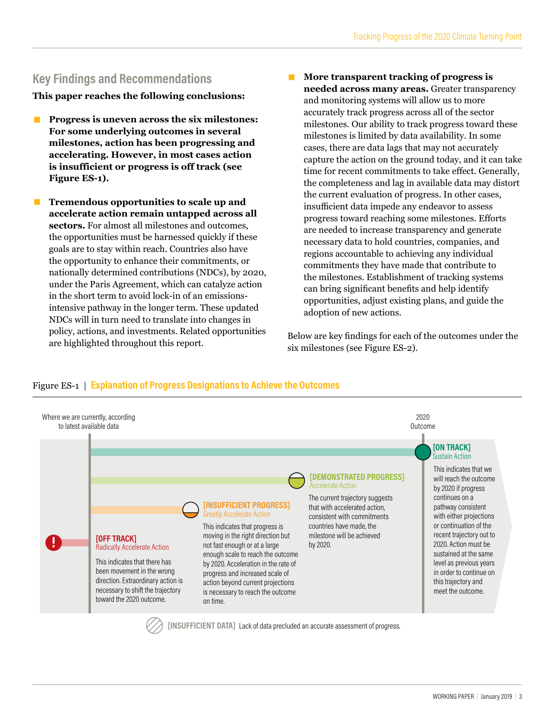### **Key Findings and Recommendations**

**This paper reaches the following conclusions:**

- **Progress is uneven across the six milestones: For some underlying outcomes in several milestones, action has been progressing and accelerating. However, in most cases action is insufficient or progress is off track (see Figure ES-1).**
- **Tremendous opportunities to scale up and accelerate action remain untapped across all sectors.** For almost all milestones and outcomes, the opportunities must be harnessed quickly if these goals are to stay within reach. Countries also have the opportunity to enhance their commitments, or nationally determined contributions (NDCs), by 2020, under the Paris Agreement, which can catalyze action in the short term to avoid lock-in of an emissionsintensive pathway in the longer term. These updated NDCs will in turn need to translate into changes in policy, actions, and investments. Related opportunities are highlighted throughout this report.
- More transparent tracking of progress is **needed across many areas.** Greater transparency and monitoring systems will allow us to more accurately track progress across all of the sector milestones. Our ability to track progress toward these milestones is limited by data availability. In some cases, there are data lags that may not accurately capture the action on the ground today, and it can take time for recent commitments to take effect. Generally, the completeness and lag in available data may distort the current evaluation of progress. In other cases, insufficient data impede any endeavor to assess progress toward reaching some milestones. Eforts are needed to increase transparency and generate necessary data to hold countries, companies, and regions accountable to achieving any individual commitments they have made that contribute to the milestones. Establishment of tracking systems can bring signifcant benefts and help identify opportunities, adjust existing plans, and guide the adoption of new actions.

Below are key fndings for each of the outcomes under the six milestones (see Figure ES-2).



#### Figure ES-1 | **Explanation of Progress Designations to Achieve the Outcomes**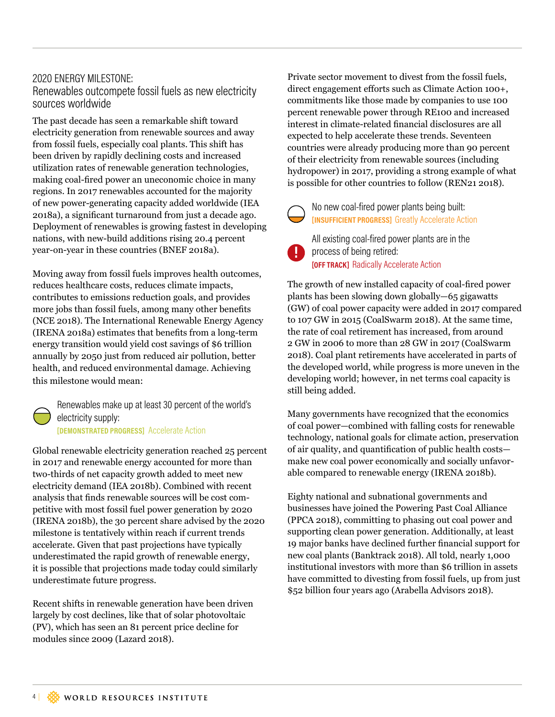#### 2020 ENERGY MILESTONE: Renewables outcompete fossil fuels as new electricity sources worldwide

The past decade has seen a remarkable shift toward electricity generation from renewable sources and away from fossil fuels, especially coal plants. This shift has been driven by rapidly declining costs and increased utilization rates of renewable generation technologies, making coal-fred power an uneconomic choice in many regions. In 2017 renewables accounted for the majority of new power-generating capacity added worldwide (IEA 2018a), a signifcant turnaround from just a decade ago. Deployment of renewables is growing fastest in developing nations, with new-build additions rising 20.4 percent year-on-year in these countries (BNEF 2018a).

Moving away from fossil fuels improves health outcomes, reduces healthcare costs, reduces climate impacts, contributes to emissions reduction goals, and provides more jobs than fossil fuels, among many other benefts (NCE 2018). The International Renewable Energy Agency (IRENA 2018a) estimates that benefts from a long-term energy transition would yield cost savings of \$6 trillion annually by 2050 just from reduced air pollution, better health, and reduced environmental damage. Achieving this milestone would mean:

Renewables make up at least 30 percent of the world's electricity supply: **[DEMONSTRATED PROGRESS]** Accelerate Action

Global renewable electricity generation reached 25 percent in 2017 and renewable energy accounted for more than two-thirds of net capacity growth added to meet new electricity demand (IEA 2018b). Combined with recent analysis that fnds renewable sources will be cost competitive with most fossil fuel power generation by 2020 (IRENA 2018b), the 30 percent share advised by the 2020 milestone is tentatively within reach if current trends accelerate. Given that past projections have typically underestimated the rapid growth of renewable energy, it is possible that projections made today could similarly underestimate future progress.

Recent shifts in renewable generation have been driven largely by cost declines, like that of solar photovoltaic (PV), which has seen an 81 percent price decline for modules since 2009 (Lazard 2018).

Private sector movement to divest from the fossil fuels, direct engagement eforts such as Climate Action 100+, commitments like those made by companies to use 100 percent renewable power through RE100 and increased interest in climate-related fnancial disclosures are all expected to help accelerate these trends. Seventeen countries were already producing more than 90 percent of their electricity from renewable sources (including hydropower) in 2017, providing a strong example of what is possible for other countries to follow (REN21 2018).

No new coal-fired power plants being built: **[INSUFFICIENT PROGRESS]** Greatly Accelerate Action

All existing coal-fired power plants are in the **process of being retired: [OFF TRACK]** Radically Accelerate Action

The growth of new installed capacity of coal-fred power plants has been slowing down globally—65 gigawatts (GW) of coal power capacity were added in 2017 compared to 107 GW in 2015 (CoalSwarm 2018). At the same time, the rate of coal retirement has increased, from around 2 GW in 2006 to more than 28 GW in 2017 (CoalSwarm 2018). Coal plant retirements have accelerated in parts of the developed world, while progress is more uneven in the developing world; however, in net terms coal capacity is still being added.

Many governments have recognized that the economics of coal power—combined with falling costs for renewable technology, national goals for climate action, preservation of air quality, and quantifcation of public health costs make new coal power economically and socially unfavorable compared to renewable energy (IRENA 2018b).

Eighty national and subnational governments and businesses have joined the Powering Past Coal Alliance (PPCA 2018), committing to phasing out coal power and supporting clean power generation. Additionally, at least 19 major banks have declined further fnancial support for new coal plants (Banktrack 2018). All told, nearly 1,000 institutional investors with more than \$6 trillion in assets have committed to divesting from fossil fuels, up from just \$52 billion four years ago (Arabella Advisors 2018).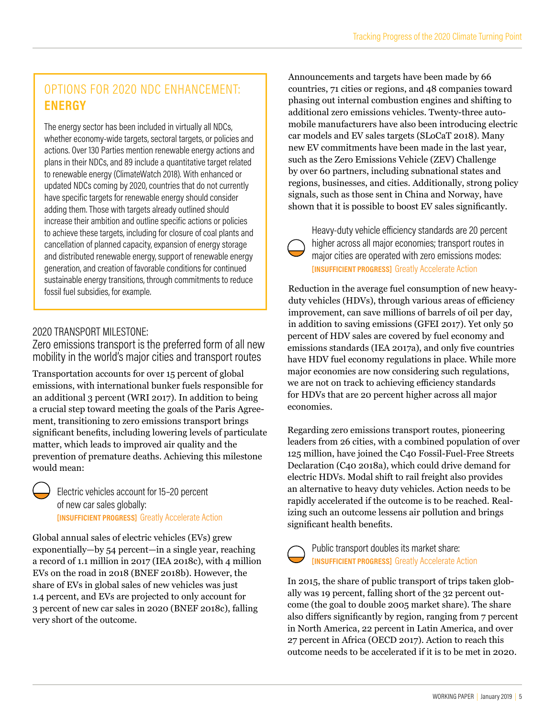### OPTIONS FOR 2020 NDC ENHANCEMENT: **ENERGY**

The energy sector has been included in virtually all NDCs, whether economy-wide targets, sectoral targets, or policies and actions. Over 130 Parties mention renewable energy actions and plans in their NDCs, and 89 include a quantitative target related to renewable energy (ClimateWatch 2018). With enhanced or updated NDCs coming by 2020, countries that do not currently have specific targets for renewable energy should consider adding them. Those with targets already outlined should increase their ambition and outline specific actions or policies to achieve these targets, including for closure of coal plants and cancellation of planned capacity, expansion of energy storage and distributed renewable energy, support of renewable energy generation, and creation of favorable conditions for continued sustainable energy transitions, through commitments to reduce fossil fuel subsidies, for example.

### 2020 TRANSPORT MILESTONE:

Zero emissions transport is the preferred form of all new mobility in the world's major cities and transport routes

Transportation accounts for over 15 percent of global emissions, with international bunker fuels responsible for an additional 3 percent (WRI 2017). In addition to being a crucial step toward meeting the goals of the Paris Agreement, transitioning to zero emissions transport brings signifcant benefts, including lowering levels of particulate matter, which leads to improved air quality and the prevention of premature deaths. Achieving this milestone would mean:

Electric vehicles account for 15–20 percent of new car sales globally: **[INSUFFICIENT PROGRESS]** Greatly Accelerate Action

Global annual sales of electric vehicles (EVs) grew exponentially—by 54 percent—in a single year, reaching a record of 1.1 million in 2017 (IEA 2018c), with 4 million EVs on the road in 2018 (BNEF 2018b). However, the share of EVs in global sales of new vehicles was just 1.4 percent, and EVs are projected to only account for 3 percent of new car sales in 2020 (BNEF 2018c), falling very short of the outcome.

Announcements and targets have been made by 66 countries, 71 cities or regions, and 48 companies toward phasing out internal combustion engines and shifting to additional zero emissions vehicles. Twenty-three automobile manufacturers have also been introducing electric car models and EV sales targets (SLoCaT 2018). Many new EV commitments have been made in the last year, such as the Zero Emissions Vehicle (ZEV) Challenge by over 60 partners, including subnational states and regions, businesses, and cities. Additionally, strong policy signals, such as those sent in China and Norway, have shown that it is possible to boost EV sales signifcantly.

Heavy-duty vehicle eficiency standards are 20 percent higher across all major economies; transport routes in major cities are operated with zero emissions modes: **[INSUFFICIENT PROGRESS]** Greatly Accelerate Action

Reduction in the average fuel consumption of new heavyduty vehicles (HDVs), through various areas of efficiency improvement, can save millions of barrels of oil per day, in addition to saving emissions (GFEI 2017). Yet only 50 percent of HDV sales are covered by fuel economy and emissions standards (IEA 2017a), and only fve countries have HDV fuel economy regulations in place. While more major economies are now considering such regulations, we are not on track to achieving efficiency standards for HDVs that are 20 percent higher across all major economies.

Regarding zero emissions transport routes, pioneering leaders from 26 cities, with a combined population of over 125 million, have joined the C40 Fossil-Fuel-Free Streets Declaration (C40 2018a), which could drive demand for electric HDVs. Modal shift to rail freight also provides an alternative to heavy duty vehicles. Action needs to be rapidly accelerated if the outcome is to be reached. Realizing such an outcome lessens air pollution and brings significant health benefits.

Public transport doubles its market share: **[INSUFFICIENT PROGRESS]** Greatly Accelerate Action

In 2015, the share of public transport of trips taken globally was 19 percent, falling short of the 32 percent outcome (the goal to double 2005 market share). The share also difers signifcantly by region, ranging from 7 percent in North America, 22 percent in Latin America, and over 27 percent in Africa (OECD 2017). Action to reach this outcome needs to be accelerated if it is to be met in 2020.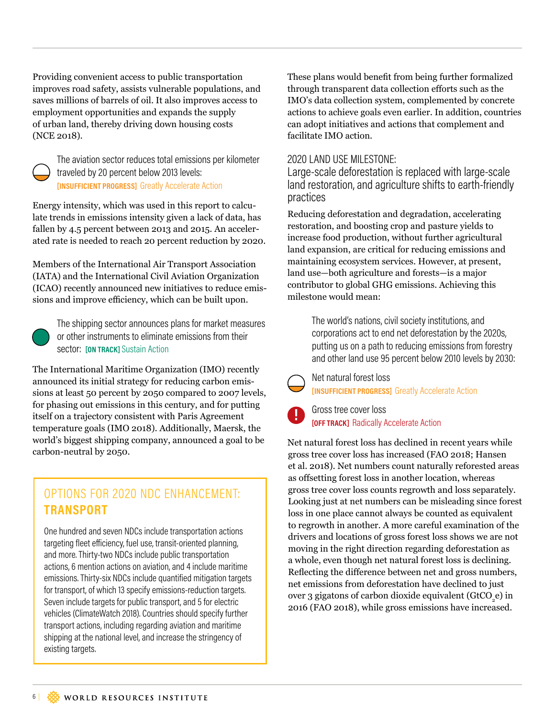Providing convenient access to public transportation improves road safety, assists vulnerable populations, and saves millions of barrels of oil. It also improves access to employment opportunities and expands the supply of urban land, thereby driving down housing costs (NCE 2018).



The aviation sector reduces total emissions per kilometer traveled by 20 percent below 2013 levels: **[INSUFFICIENT PROGRESS]** Greatly Accelerate Action

Energy intensity, which was used in this report to calculate trends in emissions intensity given a lack of data, has fallen by 4.5 percent between 2013 and 2015. An accelerated rate is needed to reach 20 percent reduction by 2020.

Members of the International Air Transport Association (IATA) and the International Civil Aviation Organization (ICAO) recently announced new initiatives to reduce emissions and improve efficiency, which can be built upon.



The shipping sector announces plans for market measures or other instruments to eliminate emissions from their sector: **[ON TRACK]** Sustain Action

The International Maritime Organization (IMO) recently announced its initial strategy for reducing carbon emissions at least 50 percent by 2050 compared to 2007 levels, for phasing out emissions in this century, and for putting itself on a trajectory consistent with Paris Agreement temperature goals (IMO 2018). Additionally, Maersk, the world's biggest shipping company, announced a goal to be carbon-neutral by 2050.

### OPTIONS FOR 2020 NDC ENHANCEMENT: **TRANSPORT**

One hundred and seven NDCs include transportation actions targeting fleet eficiency, fuel use, transit-oriented planning, and more. Thirty-two NDCs include public transportation actions, 6 mention actions on aviation, and 4 include maritime emissions. Thirty-six NDCs include quantified mitigation targets for transport, of which 13 specify emissions-reduction targets. Seven include targets for public transport, and 5 for electric vehicles (ClimateWatch 2018). Countries should specify further transport actions, including regarding aviation and maritime shipping at the national level, and increase the stringency of existing targets.

These plans would beneft from being further formalized through transparent data collection eforts such as the IMO's data collection system, complemented by concrete actions to achieve goals even earlier. In addition, countries can adopt initiatives and actions that complement and facilitate IMO action.

#### 2020 LAND USE MILESTONE:

Large-scale deforestation is replaced with large-scale land restoration, and agriculture shifts to earth-friendly practices

Reducing deforestation and degradation, accelerating restoration, and boosting crop and pasture yields to increase food production, without further agricultural land expansion, are critical for reducing emissions and maintaining ecosystem services. However, at present, land use—both agriculture and forests—is a major contributor to global GHG emissions. Achieving this milestone would mean:

> The world's nations, civil society institutions, and corporations act to end net deforestation by the 2020s, putting us on a path to reducing emissions from forestry and other land use 95 percent below 2010 levels by 2030:

Net natural forest loss **[INSUFFICIENT PROGRESS]** Greatly Accelerate Action

Gross tree cover loss **[OFF TRACK]** Radically Accelerate Action

Net natural forest loss has declined in recent years while gross tree cover loss has increased (FAO 2018; Hansen et al. 2018). Net numbers count naturally reforested areas as offsetting forest loss in another location, whereas gross tree cover loss counts regrowth and loss separately. Looking just at net numbers can be misleading since forest loss in one place cannot always be counted as equivalent to regrowth in another. A more careful examination of the drivers and locations of gross forest loss shows we are not moving in the right direction regarding deforestation as a whole, even though net natural forest loss is declining. Refecting the diference between net and gross numbers, net emissions from deforestation have declined to just over 3 gigatons of carbon dioxide equivalent (GtCO<sub>2</sub>e) in 2016 (FAO 2018), while gross emissions have increased.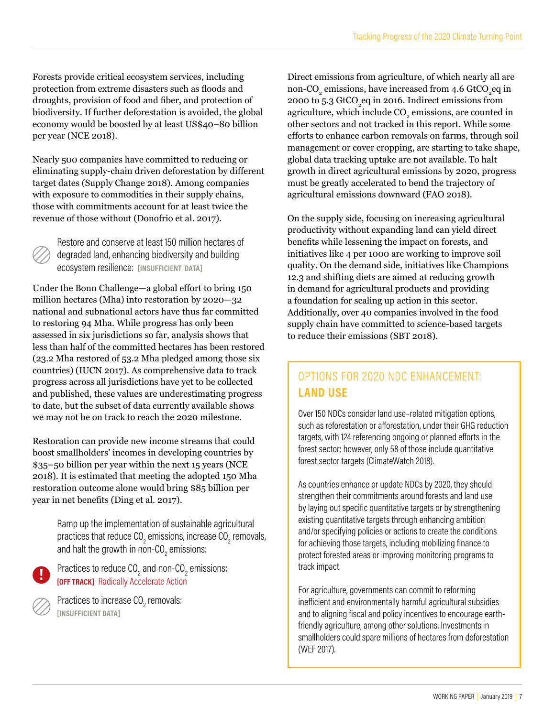Forests provide critical ecosystem services, including protection from extreme disasters such as foods and droughts, provision of food and fber, and protection of biodiversity. If further deforestation is avoided, the global economy would be boosted by at least US\$40–80 billion per year (NCE 2018).

Nearly 500 companies have committed to reducing or eliminating supply-chain driven deforestation by diferent target dates (Supply Change 2018). Among companies with exposure to commodities in their supply chains, those with commitments account for at least twice the revenue of those without (Donofrio et al. 2017).

Restore and conserve at least 150 million hectares of degraded land, enhancing biodiversity and building ecosystem resilience: **[INSUFFICIENT DATA]**

Under the Bonn Challenge—a global effort to bring 150 million hectares (Mha) into restoration by 2020—32 national and subnational actors have thus far committed to restoring 94 Mha. While progress has only been assessed in six jurisdictions so far, analysis shows that less than half of the committed hectares has been restored (23.2 Mha restored of 53.2 Mha pledged among those six countries) (IUCN 2017). As comprehensive data to track progress across all jurisdictions have yet to be collected and published, these values are underestimating progress to date, but the subset of data currently available shows we may not be on track to reach the 2020 milestone.

Restoration can provide new income streams that could boost smallholders' incomes in developing countries by \$35–50 billion per year within the next 15 years (NCE 2018). It is estimated that meeting the adopted 150 Mha restoration outcome alone would bring \$85 billion per year in net benefts (Ding et al. 2017).

> Ramp up the implementation of sustainable agricultural practices that reduce CO $_{\textrm{\tiny{2}}}$  emissions, increase CO $_{\textrm{\tiny{2}}}$  removals, and halt the growth in non-CO $_{_2}$  emissions:

Practices to reduce CO<sub>2</sub> and non-CO<sub>2</sub> emissions: **[OFF TRACK]** Radically Accelerate Action

Practices to increase CO $_{\tiny 2}$  removals: **[INSUFFICIENT DATA]**

Direct emissions from agriculture, of which nearly all are non-CO<sub>2</sub> emissions, have increased from 4.6 GtCO<sub>2</sub>eq in 2000 to 5.3  $\rm GCO_2$ eq in 2016. Indirect emissions from agriculture, which include  $\mathrm{CO}_2$  emissions, are counted in other sectors and not tracked in this report. While some eforts to enhance carbon removals on farms, through soil management or cover cropping, are starting to take shape, global data tracking uptake are not available. To halt growth in direct agricultural emissions by 2020, progress must be greatly accelerated to bend the trajectory of agricultural emissions downward (FAO 2018).

On the supply side, focusing on increasing agricultural productivity without expanding land can yield direct benefts while lessening the impact on forests, and initiatives like 4 per 1000 are working to improve soil quality. On the demand side, initiatives like Champions 12.3 and shifting diets are aimed at reducing growth in demand for agricultural products and providing a foundation for scaling up action in this sector. Additionally, over 40 companies involved in the food supply chain have committed to science-based targets to reduce their emissions (SBT 2018).

### OPTIONS FOR 2020 NDC ENHANCEMENT: **LAND USE**

Over 150 NDCs consider land use–related mitigation options, such as reforestation or afforestation, under their GHG reduction targets, with 124 referencing ongoing or planned eforts in the forest sector; however, only 58 of those include quantitative forest sector targets (ClimateWatch 2018).

As countries enhance or update NDCs by 2020, they should strengthen their commitments around forests and land use by laying out specific quantitative targets or by strengthening existing quantitative targets through enhancing ambition and/or specifying policies or actions to create the conditions for achieving those targets, including mobilizing finance to protect forested areas or improving monitoring programs to track impact.

For agriculture, governments can commit to reforming ineficient and environmentally harmful agricultural subsidies and to aligning fiscal and policy incentives to encourage earthfriendly agriculture, among other solutions. Investments in smallholders could spare millions of hectares from deforestation (WEF 2017).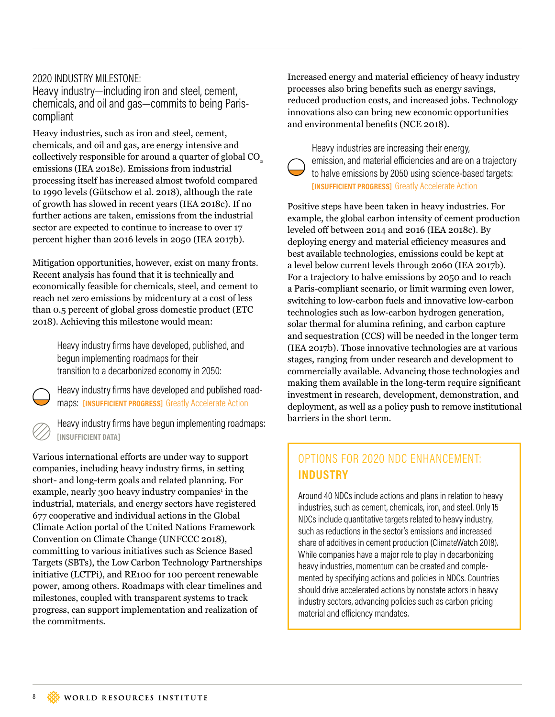#### 2020 INDUSTRY MILESTONE:

Heavy industry—including iron and steel, cement, chemicals, and oil and gas—commits to being Pariscompliant

Heavy industries, such as iron and steel, cement, chemicals, and oil and gas, are energy intensive and collectively responsible for around a quarter of global CO<sub>2</sub> emissions (IEA 2018c). Emissions from industrial processing itself has increased almost twofold compared to 1990 levels (Gütschow et al. 2018), although the rate of growth has slowed in recent years (IEA 2018c). If no further actions are taken, emissions from the industrial sector are expected to continue to increase to over 17 percent higher than 2016 levels in 2050 (IEA 2017b).

Mitigation opportunities, however, exist on many fronts. Recent analysis has found that it is technically and economically feasible for chemicals, steel, and cement to reach net zero emissions by midcentury at a cost of less than 0.5 percent of global gross domestic product (ETC 2018). Achieving this milestone would mean:

> Heavy industry firms have developed, published, and begun implementing roadmaps for their transition to a decarbonized economy in 2050:

Heavy industry firms have developed and published roadmaps: **[INSUFFICIENT PROGRESS]** Greatly Accelerate Action

Heavy industry firms have begun implementing roadmaps: **[INSUFFICIENT DATA]**

Various international efforts are under way to support companies, including heavy industry frms, in setting short- and long-term goals and related planning. For example, nearly 300 heavy industry companies<sup>1</sup> in the industrial, materials, and energy sectors have registered 677 cooperative and individual actions in the Global Climate Action portal of the United Nations Framework Convention on Climate Change (UNFCCC 2018), committing to various initiatives such as Science Based Targets (SBTs), the Low Carbon Technology Partnerships initiative (LCTPi), and RE100 for 100 percent renewable power, among others. Roadmaps with clear timelines and milestones, coupled with transparent systems to track progress, can support implementation and realization of the commitments.

Increased energy and material efficiency of heavy industry processes also bring benefts such as energy savings, reduced production costs, and increased jobs. Technology innovations also can bring new economic opportunities and environmental benefts (NCE 2018).

Heavy industries are increasing their energy, emission, and material eficiencies and are on a trajectory to halve emissions by 2050 using science-based targets: **[INSUFFICIENT PROGRESS]** Greatly Accelerate Action

Positive steps have been taken in heavy industries. For example, the global carbon intensity of cement production leveled off between 2014 and 2016 (IEA 2018c). By deploying energy and material efficiency measures and best available technologies, emissions could be kept at a level below current levels through 2060 (IEA 2017b). For a trajectory to halve emissions by 2050 and to reach a Paris-compliant scenario, or limit warming even lower, switching to low-carbon fuels and innovative low-carbon technologies such as low-carbon hydrogen generation, solar thermal for alumina refning, and carbon capture and sequestration (CCS) will be needed in the longer term (IEA 2017b). Those innovative technologies are at various stages, ranging from under research and development to commercially available. Advancing those technologies and making them available in the long-term require signifcant investment in research, development, demonstration, and deployment, as well as a policy push to remove institutional barriers in the short term.

### OPTIONS FOR 2020 NDC ENHANCEMENT: **INDUSTRY**

Around 40 NDCs include actions and plans in relation to heavy industries, such as cement, chemicals, iron, and steel. Only 15 NDCs include quantitative targets related to heavy industry, such as reductions in the sector's emissions and increased share of additives in cement production (ClimateWatch 2018). While companies have a major role to play in decarbonizing heavy industries, momentum can be created and complemented by specifying actions and policies in NDCs. Countries should drive accelerated actions by nonstate actors in heavy industry sectors, advancing policies such as carbon pricing material and eficiency mandates.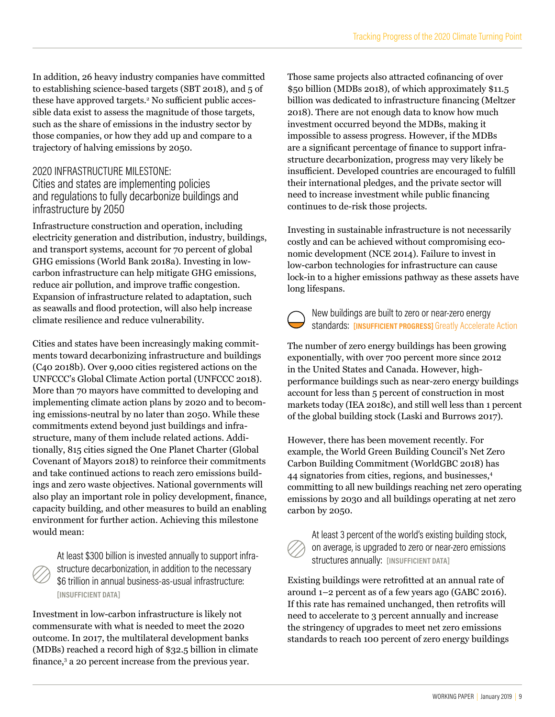In addition, 26 heavy industry companies have committed to establishing science-based targets (SBT 2018), and 5 of these have approved targets.<sup>2</sup> No sufficient public accessible data exist to assess the magnitude of those targets, such as the share of emissions in the industry sector by those companies, or how they add up and compare to a trajectory of halving emissions by 2050.

### 2020 INFRASTRUCTURE MILESTONE:

Cities and states are implementing policies and regulations to fully decarbonize buildings and infrastructure by 2050

Infrastructure construction and operation, including electricity generation and distribution, industry, buildings, and transport systems, account for 70 percent of global GHG emissions (World Bank 2018a). Investing in lowcarbon infrastructure can help mitigate GHG emissions, reduce air pollution, and improve traffic congestion. Expansion of infrastructure related to adaptation, such as seawalls and food protection, will also help increase climate resilience and reduce vulnerability.

Cities and states have been increasingly making commitments toward decarbonizing infrastructure and buildings (C40 2018b). Over 9,000 cities registered actions on the UNFCCC's Global Climate Action portal (UNFCCC 2018). More than 70 mayors have committed to developing and implementing climate action plans by 2020 and to becoming emissions-neutral by no later than 2050. While these commitments extend beyond just buildings and infrastructure, many of them include related actions. Additionally, 815 cities signed the One Planet Charter (Global Covenant of Mayors 2018) to reinforce their commitments and take continued actions to reach zero emissions buildings and zero waste objectives. National governments will also play an important role in policy development, fnance, capacity building, and other measures to build an enabling environment for further action. Achieving this milestone would mean:

At least \$300 billion is invested annually to support infrastructure decarbonization, in addition to the necessary \$6 trillion in annual business-as-usual infrastructure: **[INSUFFICIENT DATA]**

Investment in low-carbon infrastructure is likely not commensurate with what is needed to meet the 2020 outcome. In 2017, the multilateral development banks (MDBs) reached a record high of \$32.5 billion in climate finance,<sup>3</sup> a 20 percent increase from the previous year.

Those same projects also attracted cofnancing of over \$50 billion (MDBs 2018), of which approximately \$11.5 billion was dedicated to infrastructure fnancing (Meltzer 2018). There are not enough data to know how much investment occurred beyond the MDBs, making it impossible to assess progress. However, if the MDBs are a signifcant percentage of fnance to support infrastructure decarbonization, progress may very likely be insufficient. Developed countries are encouraged to fulfill their international pledges, and the private sector will need to increase investment while public fnancing continues to de-risk those projects.

Investing in sustainable infrastructure is not necessarily costly and can be achieved without compromising economic development (NCE 2014). Failure to invest in low-carbon technologies for infrastructure can cause lock-in to a higher emissions pathway as these assets have long lifespans.

New buildings are built to zero or near-zero energy standards: **[INSUFFICIENT PROGRESS]** Greatly Accelerate Action

The number of zero energy buildings has been growing exponentially, with over 700 percent more since 2012 in the United States and Canada. However, highperformance buildings such as near-zero energy buildings account for less than 5 percent of construction in most markets today (IEA 2018c), and still well less than 1 percent of the global building stock (Laski and Burrows 2017).

However, there has been movement recently. For example, the World Green Building Council's Net Zero Carbon Building Commitment (WorldGBC 2018) has 44 signatories from cities, regions, and businesses,4 committing to all new buildings reaching net zero operating emissions by 2030 and all buildings operating at net zero carbon by 2050.



At least 3 percent of the world's existing building stock, on average, is upgraded to zero or near-zero emissions structures annually: **[INSUFFICIENT DATA]**

Existing buildings were retroftted at an annual rate of around 1–2 percent as of a few years ago (GABC 2016). If this rate has remained unchanged, then retrofts will need to accelerate to 3 percent annually and increase the stringency of upgrades to meet net zero emissions standards to reach 100 percent of zero energy buildings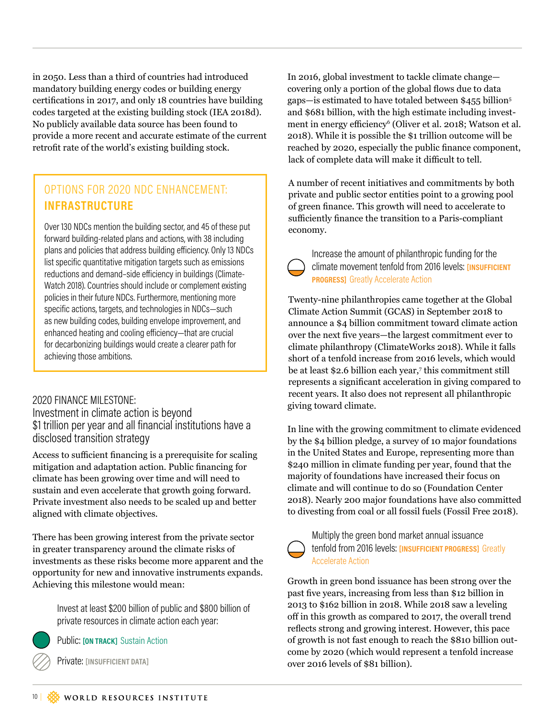in 2050. Less than a third of countries had introduced mandatory building energy codes or building energy certifcations in 2017, and only 18 countries have building codes targeted at the existing building stock (IEA 2018d). No publicly available data source has been found to provide a more recent and accurate estimate of the current retrofit rate of the world's existing building stock.

### OPTIONS FOR 2020 NDC ENHANCEMENT: **INFRASTRUCTURE**

Over 130 NDCs mention the building sector, and 45 of these put forward building-related plans and actions, with 38 including plans and policies that address building eficiency. Only 13 NDCs list specific quantitative mitigation targets such as emissions reductions and demand–side eficiency in buildings (Climate-Watch 2018). Countries should include or complement existing policies in their future NDCs. Furthermore, mentioning more specific actions, targets, and technologies in NDCs—such as new building codes, building envelope improvement, and enhanced heating and cooling eficiency—that are crucial for decarbonizing buildings would create a clearer path for achieving those ambitions.

#### 2020 FINANCE MILESTONE:

Investment in climate action is beyond \$1 trillion per year and all financial institutions have a disclosed transition strategy

Access to sufficient financing is a prerequisite for scaling mitigation and adaptation action. Public fnancing for climate has been growing over time and will need to sustain and even accelerate that growth going forward. Private investment also needs to be scaled up and better aligned with climate objectives.

There has been growing interest from the private sector in greater transparency around the climate risks of investments as these risks become more apparent and the opportunity for new and innovative instruments expands. Achieving this milestone would mean:

> Invest at least \$200 billion of public and \$800 billion of private resources in climate action each year:

Public: **[ON TRACK]** Sustain Action

Private: **[INSUFFICIENT DATA]**

In 2016, global investment to tackle climate change covering only a portion of the global flows due to data gaps—is estimated to have totaled between \$455 billion<sup>5</sup> and \$681 billion, with the high estimate including investment in energy efficiency<sup>6</sup> (Oliver et al. 2018; Watson et al. 2018). While it is possible the \$1 trillion outcome will be reached by 2020, especially the public fnance component, lack of complete data will make it difficult to tell.

A number of recent initiatives and commitments by both private and public sector entities point to a growing pool of green fnance. This growth will need to accelerate to sufficiently finance the transition to a Paris-compliant economy.



#### Increase the amount of philanthropic funding for the climate movement tenfold from 2016 levels: **[INSUFFICIENT PROGRESS]** Greatly Accelerate Action

Twenty-nine philanthropies came together at the Global Climate Action Summit (GCAS) in September 2018 to announce a \$4 billion commitment toward climate action over the next fve years—the largest commitment ever to climate philanthropy (ClimateWorks 2018). While it falls short of a tenfold increase from 2016 levels, which would be at least \$2.6 billion each year,<sup>7</sup> this commitment still represents a signifcant acceleration in giving compared to recent years. It also does not represent all philanthropic giving toward climate.

In line with the growing commitment to climate evidenced by the \$4 billion pledge, a survey of 10 major foundations in the United States and Europe, representing more than \$240 million in climate funding per year, found that the majority of foundations have increased their focus on climate and will continue to do so (Foundation Center 2018). Nearly 200 major foundations have also committed to divesting from coal or all fossil fuels (Fossil Free 2018).



Multiply the green bond market annual issuance tenfold from 2016 levels: **[INSUFFICIENT PROGRESS]** Greatly Accelerate Action

Growth in green bond issuance has been strong over the past fve years, increasing from less than \$12 billion in 2013 to \$162 billion in 2018. While 2018 saw a leveling off in this growth as compared to 2017, the overall trend refects strong and growing interest. However, this pace of growth is not fast enough to reach the \$810 billion outcome by 2020 (which would represent a tenfold increase over 2016 levels of \$81 billion).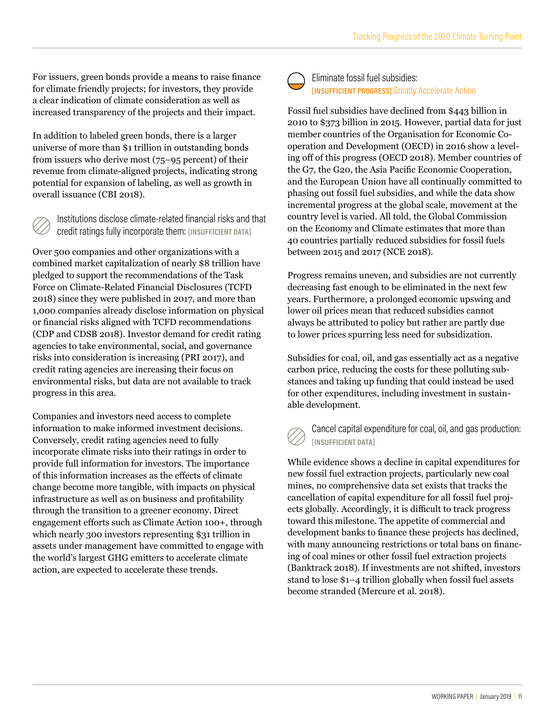For issuers, green bonds provide a means to raise fnance for climate friendly projects; for investors, they provide a clear indication of climate consideration as well as increased transparency of the projects and their impact.

In addition to labeled green bonds, there is a larger universe of more than \$1 trillion in outstanding bonds from issuers who derive most (75–95 percent) of their revenue from climate-aligned projects, indicating strong potential for expansion of labeling, as well as growth in overall issuance (CBI 2018).

Institutions disclose climate-related financial risks and that credit ratings fully incorporate them: **[INSUFFICIENT DATA]**

Over 500 companies and other organizations with a combined market capitalization of nearly \$8 trillion have pledged to support the recommendations of the Task Force on Climate-Related Financial Disclosures (TCFD 2018) since they were published in 2017, and more than 1,000 companies already disclose information on physical or fnancial risks aligned with TCFD recommendations (CDP and CDSB 2018). Investor demand for credit rating agencies to take environmental, social, and governance risks into consideration is increasing (PRI 2017), and credit rating agencies are increasing their focus on environmental risks, but data are not available to track progress in this area.

Companies and investors need access to complete information to make informed investment decisions. Conversely, credit rating agencies need to fully incorporate climate risks into their ratings in order to provide full information for investors. The importance of this information increases as the efects of climate change become more tangible, with impacts on physical infrastructure as well as on business and proftability through the transition to a greener economy. Direct engagement eforts such as Climate Action 100+, through which nearly 300 investors representing \$31 trillion in assets under management have committed to engage with the world's largest GHG emitters to accelerate climate action, are expected to accelerate these trends.



Eliminate fossil fuel subsidies: **[INSUFFICIENT PROGRESS]** Greatly Accelerate Action

Fossil fuel subsidies have declined from \$443 billion in 2010 to \$373 billion in 2015. However, partial data for just member countries of the Organisation for Economic Cooperation and Development (OECD) in 2016 show a leveling off of this progress (OECD 2018). Member countries of the G7, the G20, the Asia Pacifc Economic Cooperation, and the European Union have all continually committed to phasing out fossil fuel subsidies, and while the data show incremental progress at the global scale, movement at the country level is varied. All told, the Global Commission on the Economy and Climate estimates that more than 40 countries partially reduced subsidies for fossil fuels between 2015 and 2017 (NCE 2018).

Progress remains uneven, and subsidies are not currently decreasing fast enough to be eliminated in the next few years. Furthermore, a prolonged economic upswing and lower oil prices mean that reduced subsidies cannot always be attributed to policy but rather are partly due to lower prices spurring less need for subsidization.

Subsidies for coal, oil, and gas essentially act as a negative carbon price, reducing the costs for these polluting substances and taking up funding that could instead be used for other expenditures, including investment in sustainable development.



Cancel capital expenditure for coal, oil, and gas production: **[INSUFFICIENT DATA]**

While evidence shows a decline in capital expenditures for new fossil fuel extraction projects, particularly new coal mines, no comprehensive data set exists that tracks the cancellation of capital expenditure for all fossil fuel projects globally. Accordingly, it is difficult to track progress toward this milestone. The appetite of commercial and development banks to fnance these projects has declined, with many announcing restrictions or total bans on fnancing of coal mines or other fossil fuel extraction projects (Banktrack 2018). If investments are not shifted, investors stand to lose \$1–4 trillion globally when fossil fuel assets become stranded (Mercure et al. 2018).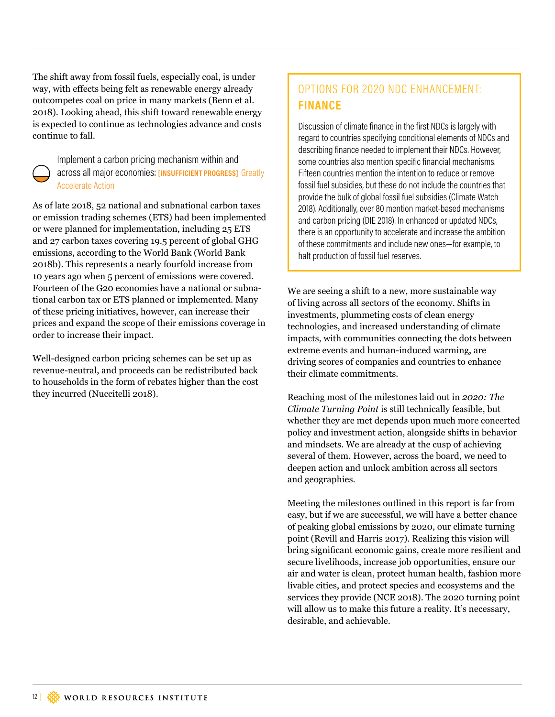The shift away from fossil fuels, especially coal, is under way, with effects being felt as renewable energy already outcompetes coal on price in many markets (Benn et al. 2018). Looking ahead, this shift toward renewable energy is expected to continue as technologies advance and costs continue to fall.



Implement a carbon pricing mechanism within and across all major economies: **[INSUFFICIENT PROGRESS]** Greatly Accelerate Action

As of late 2018, 52 national and subnational carbon taxes or emission trading schemes (ETS) had been implemented or were planned for implementation, including 25 ETS and 27 carbon taxes covering 19.5 percent of global GHG emissions, according to the World Bank (World Bank 2018b). This represents a nearly fourfold increase from 10 years ago when 5 percent of emissions were covered. Fourteen of the G20 economies have a national or subnational carbon tax or ETS planned or implemented. Many of these pricing initiatives, however, can increase their prices and expand the scope of their emissions coverage in order to increase their impact.

Well-designed carbon pricing schemes can be set up as revenue-neutral, and proceeds can be redistributed back to households in the form of rebates higher than the cost they incurred (Nuccitelli 2018).

### OPTIONS FOR 2020 NDC ENHANCEMENT: **FINANCE**

Discussion of climate finance in the first NDCs is largely with regard to countries specifying conditional elements of NDCs and describing finance needed to implement their NDCs. However, some countries also mention specific financial mechanisms. Fifteen countries mention the intention to reduce or remove fossil fuel subsidies, but these do not include the countries that provide the bulk of global fossil fuel subsidies (Climate Watch 2018). Additionally, over 80 mention market-based mechanisms and carbon pricing (DIE 2018). In enhanced or updated NDCs, there is an opportunity to accelerate and increase the ambition of these commitments and include new ones—for example, to halt production of fossil fuel reserves.

We are seeing a shift to a new, more sustainable way of living across all sectors of the economy. Shifts in investments, plummeting costs of clean energy technologies, and increased understanding of climate impacts, with communities connecting the dots between extreme events and human-induced warming, are driving scores of companies and countries to enhance their climate commitments.

Reaching most of the milestones laid out in *2020: The Climate Turning Point* is still technically feasible, but whether they are met depends upon much more concerted policy and investment action, alongside shifts in behavior and mindsets. We are already at the cusp of achieving several of them. However, across the board, we need to deepen action and unlock ambition across all sectors and geographies.

Meeting the milestones outlined in this report is far from easy, but if we are successful, we will have a better chance of peaking global emissions by 2020, our climate turning point (Revill and Harris 2017). Realizing this vision will bring signifcant economic gains, create more resilient and secure livelihoods, increase job opportunities, ensure our air and water is clean, protect human health, fashion more livable cities, and protect species and ecosystems and the services they provide (NCE 2018). The 2020 turning point will allow us to make this future a reality. It's necessary, desirable, and achievable.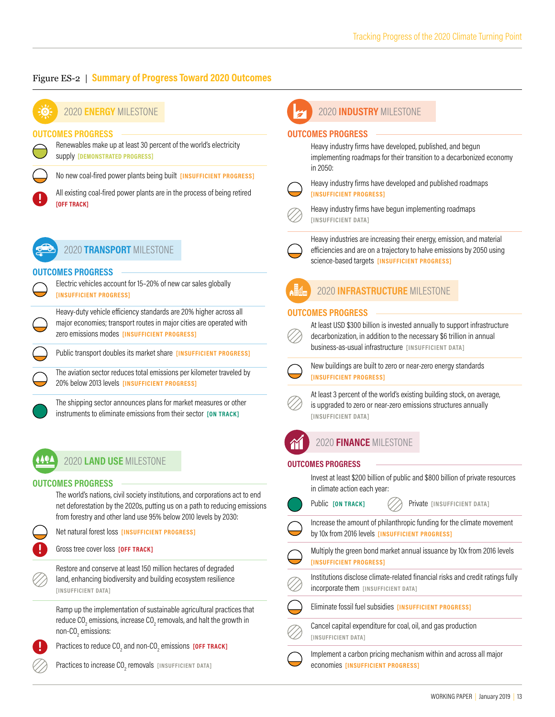#### Figure ES-2 | **Summary of Progress Toward 2020 Outcomes**



#### 2020 **ENERGY** MILESTONE

#### **OUTCOMES PROGRESS**



Renewables make up at least 30 percent of the world's electricity supply **[DEMONSTRATED PROGRESS]**

No new coal-fired power plants being built **[INSUFFICIENT PROGRESS]**

All existing coal-fired power plants are in the process of being retired **[OFF TRACK]**



2020 **TRANSPORT** MILESTONE

#### **OUTCOMES PROGRESS**

Electric vehicles account for 15–20% of new car sales globally **[INSUFFICIENT PROGRESS]**

Heavy-duty vehicle eficiency standards are 20% higher across all major economies; transport routes in major cities are operated with zero emissions modes **[INSUFFICIENT PROGRESS]**

Public transport doubles its market share **[INSUFFICIENT PROGRESS]**

The aviation sector reduces total emissions per kilometer traveled by 20% below 2013 levels **[INSUFFICIENT PROGRESS]**

The shipping sector announces plans for market measures or other instruments to eliminate emissions from their sector **[ON TRACK]**

### 2020 **LAND USE** MILESTONE

#### **OUTCOMES PROGRESS**

The world's nations, civil society institutions, and corporations act to end net deforestation by the 2020s, putting us on a path to reducing emissions from forestry and other land use 95% below 2010 levels by 2030:

| v | ×,<br>r            |
|---|--------------------|
|   | ٦<br>٠<br>۰.<br>., |
|   | . .                |

Net natural forest loss **[INSUFFICIENT PROGRESS]**

Gross tree cover loss **[OFF TRACK]**

Restore and conserve at least 150 million hectares of degraded land, enhancing biodiversity and building ecosystem resilience **[INSUFFICIENT DATA]**

Ramp up the implementation of sustainable agricultural practices that reduce CO $_{_2}$  emissions, increase CO $_{_2}$  removals, and halt the growth in non-CO $_2$  emissions:

Practices to reduce CO<sub>2</sub> and non-CO<sub>2</sub> emissions **[OFF TRACK]** 

Practices to increase CO<sub>2</sub> removals [INSUFFICIENT DATA]

#### 2020 **INDUSTRY** MILESTONE

#### **OUTCOMES PROGRESS**

Heavy industry firms have developed, published, and begun implementing roadmaps for their transition to a decarbonized economy in 2050:



Heavy industry firms have developed and published roadmaps **[INSUFFICIENT PROGRESS]**

Heavy industry firms have begun implementing roadmaps **[INSUFFICIENT DATA]**

Heavy industries are increasing their energy, emission, and material eficiencies and are on a trajectory to halve emissions by 2050 using science-based targets **[INSUFFICIENT PROGRESS]**



#### 2020 **INFRASTRUCTURE** MILESTONE

#### **OUTCOMES PROGRESS**



At least USD \$300 billion is invested annually to support infrastructure decarbonization, in addition to the necessary \$6 trillion in annual business-as-usual infrastructure **[INSUFFICIENT DATA]**



New buildings are built to zero or near-zero energy standards **[INSUFFICIENT PROGRESS]**



At least 3 percent of the world's existing building stock, on average, is upgraded to zero or near-zero emissions structures annually **[INSUFFICIENT DATA]**



### 2020 **FINANCE** MILESTONE

#### **OUTCOMES PROGRESS**

Invest at least \$200 billion of public and \$800 billion of private resources in climate action each year:

Public **[ON TRACK]**  $\langle \rangle$  Private [INSUFFICIENT DATA] Increase the amount of philanthropic funding for the climate movement by 10x from 2016 levels **[INSUFFICIENT PROGRESS]** Multiply the green bond market annual issuance by 10x from 2016 levels

**[INSUFFICIENT PROGRESS]**

Institutions disclose climate-related financial risks and credit ratings fully incorporate them **[INSUFFICIENT DATA]**



Cancel capital expenditure for coal, oil, and gas production **[INSUFFICIENT DATA]**

Implement a carbon pricing mechanism within and across all major economies **[INSUFFICIENT PROGRESS]**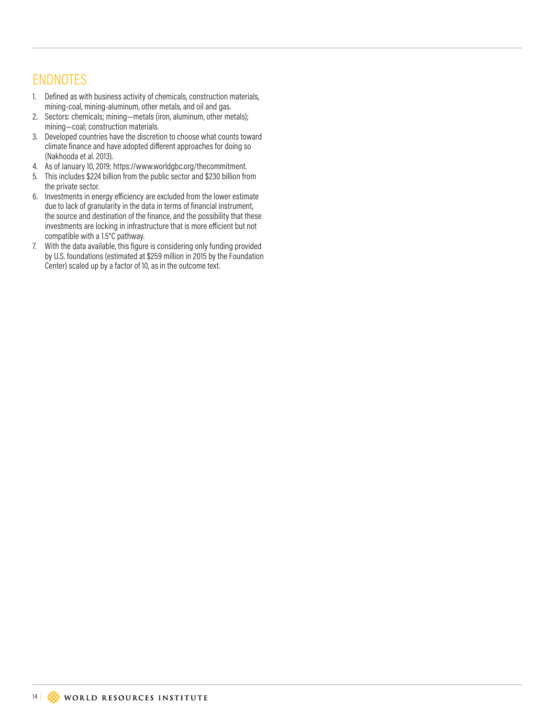### ENDNOTES

- 1. Defined as with business activity of chemicals, construction materials, mining-coal, mining-aluminum, other metals, and oil and gas.
- 2. Sectors: chemicals; mining—metals (iron, aluminum, other metals); mining—coal; construction materials.
- 3. Developed countries have the discretion to choose what counts toward climate finance and have adopted diferent approaches for doing so (Nakhooda et al. 2013).
- 4. As of January 10, 2019; https://www.worldgbc.org/thecommitment.
- 5. This includes \$224 billion from the public sector and \$230 billion from the private sector.
- 6. Investments in energy eficiency are excluded from the lower estimate due to lack of granularity in the data in terms of financial instrument, the source and destination of the finance, and the possibility that these investments are locking in infrastructure that is more eficient but not compatible with a 1.5°C pathway.
- 7. With the data available, this figure is considering only funding provided by U.S. foundations (estimated at \$259 million in 2015 by the Foundation Center) scaled up by a factor of 10, as in the outcome text.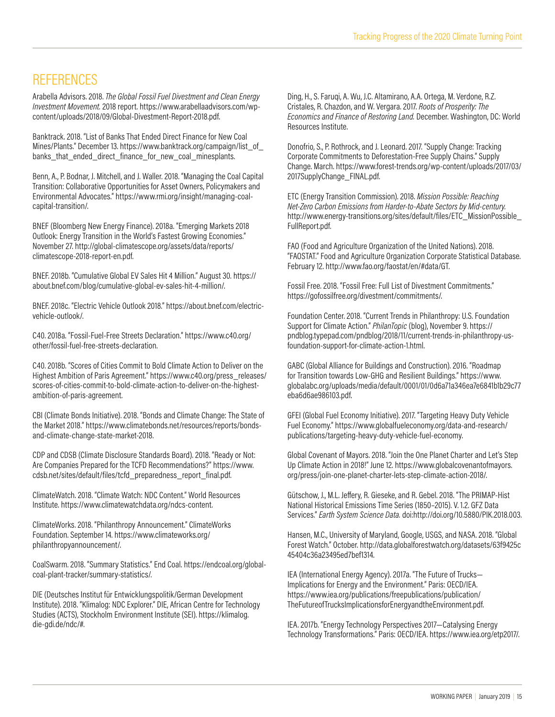### **REFERENCES**

Arabella Advisors. 2018. *The Global Fossil Fuel Divestment and Clean Energy Investment Movement.* 2018 report. https://www.arabellaadvisors.com/wpcontent/uploads/2018/09/Global-Divestment-Report-2018.pdf.

Banktrack. 2018. "List of Banks That Ended Direct Finance for New Coal Mines/Plants." December 13. https://www.banktrack.org/campaign/list\_of\_ banks that ended direct finance for new coal minesplants.

Benn, A., P. Bodnar, J. Mitchell, and J. Waller. 2018. "Managing the Coal Capital Transition: Collaborative Opportunities for Asset Owners, Policymakers and Environmental Advocates." https://www.rmi.org/insight/managing-coalcapital-transition/.

BNEF (Bloomberg New Energy Finance). 2018a. "Emerging Markets 2018 Outlook: Energy Transition in the World's Fastest Growing Economies." November 27. http://global-climatescope.org/assets/data/reports/ climatescope-2018-report-en.pdf.

BNEF. 2018b. "Cumulative Global EV Sales Hit 4 Million." August 30. https:// about.bnef.com/blog/cumulative-global-ev-sales-hit-4-million/.

BNEF. 2018c. "Electric Vehicle Outlook 2018." https://about.bnef.com/electricvehicle-outlook/.

C40. 2018a. "Fossil-Fuel-Free Streets Declaration." https://www.c40.org/ other/fossil-fuel-free-streets-declaration.

C40. 2018b. "Scores of Cities Commit to Bold Climate Action to Deliver on the Highest Ambition of Paris Agreement." https://www.c40.org/press\_releases/ scores-of-cities-commit-to-bold-climate-action-to-deliver-on-the-highestambition-of-paris-agreement.

CBI (Climate Bonds Initiative). 2018. "Bonds and Climate Change: The State of the Market 2018." https://www.climatebonds.net/resources/reports/bondsand-climate-change-state-market-2018.

CDP and CDSB (Climate Disclosure Standards Board). 2018. "Ready or Not: Are Companies Prepared for the TCFD Recommendations?" https://www. cdsb.net/sites/default/files/tcfd\_preparedness\_report\_final.pdf.

ClimateWatch. 2018. "Climate Watch: NDC Content." World Resources Institute. https://www.climatewatchdata.org/ndcs-content.

ClimateWorks. 2018. "Philanthropy Announcement." ClimateWorks Foundation. September 14. https://www.climateworks.org/ philanthropyannouncement/.

CoalSwarm. 2018. "Summary Statistics." End Coal. https://endcoal.org/globalcoal-plant-tracker/summary-statistics/.

DIE (Deutsches Institut für Entwicklungspolitik/German Development Institute). 2018. "Klimalog: NDC Explorer." DIE, African Centre for Technology Studies (ACTS), Stockholm Environment Institute (SEI). https://klimalog. die-gdi.de/ndc/#.

Ding, H., S. Faruqi, A. Wu, J.C. Altamirano, A.A. Ortega, M. Verdone, R.Z. Cristales, R. Chazdon, and W. Vergara. 2017. *Roots of Prosperity: The Economics and Finance of Restoring Land.* December. Washington, DC: World Resources Institute.

Donofrio, S., P. Rothrock, and J. Leonard. 2017. "Supply Change: Tracking Corporate Commitments to Deforestation-Free Supply Chains." Supply Change. March. https://www.forest-trends.org/wp-content/uploads/2017/03/ 2017SupplyChange\_FINAL.pdf.

ETC (Energy Transition Commission). 2018. *Mission Possible: Reaching Net-Zero Carbon Emissions from Harder-to-Abate Sectors by Mid-century.* http://www.energy-transitions.org/sites/default/files/ETC\_MissionPossible\_ FullReport.pdf.

FAO (Food and Agriculture Organization of the United Nations). 2018. "FAOSTAT." Food and Agriculture Organization Corporate Statistical Database. February 12. http://www.fao.org/faostat/en/#data/GT.

Fossil Free. 2018. "Fossil Free: Full List of Divestment Commitments." https://gofossilfree.org/divestment/commitments/.

Foundation Center. 2018. "Current Trends in Philanthropy: U.S. Foundation Support for Climate Action." *PhilanTopic* (blog), November 9. https:// pndblog.typepad.com/pndblog/2018/11/current-trends-in-philanthropy-usfoundation-support-for-climate-action-1.html.

GABC (Global Alliance for Buildings and Construction). 2016. "Roadmap for Transition towards Low-GHG and Resilient Buildings." https://www. globalabc.org/uploads/media/default/0001/01/0d6a71a346ea7e6841b1b29c77 eba6d6ae986103.pdf.

GFEI (Global Fuel Economy Initiative). 2017. "Targeting Heavy Duty Vehicle Fuel Economy." https://www.globalfueleconomy.org/data-and-research/ publications/targeting-heavy-duty-vehicle-fuel-economy.

Global Covenant of Mayors. 2018. "Join the One Planet Charter and Let's Step Up Climate Action in 2018!" June 12. https://www.globalcovenantofmayors. org/press/join-one-planet-charter-lets-step-climate-action-2018/.

Gütschow, J., M.L. Jefery, R. Gieseke, and R. Gebel. 2018. "The PRIMAP-Hist National Historical Emissions Time Series (1850–2015). V. 1.2. GFZ Data Services." *Earth System Science Data.* doi:http://doi.org/10.5880/PIK.2018.003.

Hansen, M.C., University of Maryland, Google, USGS, and NASA. 2018. "Global Forest Watch." October. http://data.globalforestwatch.org/datasets/63f9425c 45404c36a23495ed7bef1314.

IEA (International Energy Agency). 2017a. "The Future of Trucks— Implications for Energy and the Environment." Paris: OECD/IEA. https://www.iea.org/publications/freepublications/publication/ TheFutureofTrucksImplicationsforEnergyandtheEnvironment.pdf.

IEA. 2017b. "Energy Technology Perspectives 2017—Catalysing Energy Technology Transformations." Paris: OECD/IEA. https://www.iea.org/etp2017/.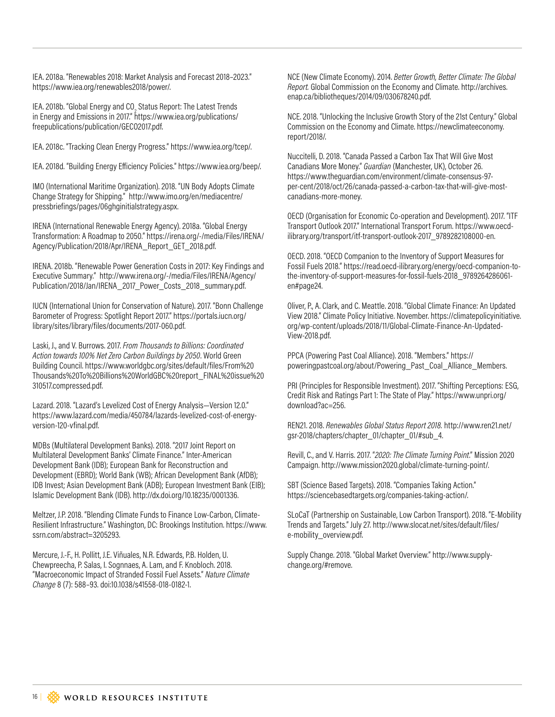IEA. 2018a. "Renewables 2018: Market Analysis and Forecast 2018–2023." https://www.iea.org/renewables2018/power/.

IEA. 2018b. "Global Energy and CO<sub>2</sub> Status Report: The Latest Trends in Energy and Emissions in 2017." https://www.iea.org/publications/ freepublications/publication/GECO2017.pdf.

IEA. 2018c. "Tracking Clean Energy Progress." https://www.iea.org/tcep/.

IEA. 2018d. "Building Energy Eficiency Policies." https://www.iea.org/beep/.

IMO (International Maritime Organization). 2018. "UN Body Adopts Climate Change Strategy for Shipping." http://www.imo.org/en/mediacentre/ pressbriefings/pages/06ghginitialstrategy.aspx.

IRENA (International Renewable Energy Agency). 2018a. "Global Energy Transformation: A Roadmap to 2050." https://irena.org/-/media/Files/IRENA/ Agency/Publication/2018/Apr/IRENA\_Report\_GET\_2018.pdf.

IRENA. 2018b. "Renewable Power Generation Costs in 2017: Key Findings and Executive Summary." http://www.irena.org/-/media/Files/IRENA/Agency/ Publication/2018/Jan/IRENA\_2017\_Power\_Costs\_2018\_summary.pdf.

IUCN (International Union for Conservation of Nature). 2017. "Bonn Challenge Barometer of Progress: Spotlight Report 2017." https://portals.iucn.org/ library/sites/library/files/documents/2017-060.pdf.

Laski, J., and V. Burrows. 2017. *From Thousands to Billions: Coordinated Action towards 100% Net Zero Carbon Buildings by 2050*. World Green Building Council. https://www.worldgbc.org/sites/default/files/From%20 Thousands%20To%20Billions%20WorldGBC%20report\_FINAL%20issue%20 310517.compressed.pdf.

Lazard. 2018. "Lazard's Levelized Cost of Energy Analysis—Version 12.0." https://www.lazard.com/media/450784/lazards-levelized-cost-of-energyversion-120-vfinal.pdf.

MDBs (Multilateral Development Banks). 2018. "2017 Joint Report on Multilateral Development Banks' Climate Finance." Inter-American Development Bank (IDB); European Bank for Reconstruction and Development (EBRD); World Bank (WB); African Development Bank (AfDB); IDB Invest; Asian Development Bank (ADB); European Investment Bank (EIB); Islamic Development Bank (IDB). http://dx.doi.org/10.18235/0001336.

Meltzer, J.P. 2018. "Blending Climate Funds to Finance Low-Carbon, Climate-Resilient Infrastructure." Washington, DC: Brookings Institution. https://www. ssrn.com/abstract=3205293.

Mercure, J.-F., H. Pollitt, J.E. Viñuales, N.R. Edwards, P.B. Holden, U. Chewpreecha, P. Salas, I. Sognnaes, A. Lam, and F. Knobloch. 2018. "Macroeconomic Impact of Stranded Fossil Fuel Assets." *Nature Climate Change* 8 (7): 588–93. doi:10.1038/s41558-018-0182-1.

NCE (New Climate Economy). 2014. *Better Growth, Better Climate: The Global Report.* Global Commission on the Economy and Climate. http://archives. enap.ca/bibliotheques/2014/09/030678240.pdf.

NCE. 2018. "Unlocking the Inclusive Growth Story of the 21st Century." Global Commission on the Economy and Climate. https://newclimateeconomy. report/2018/.

Nuccitelli, D. 2018. "Canada Passed a Carbon Tax That Will Give Most Canadians More Money." *Guardian* (Manchester, UK), October 26. https://www.theguardian.com/environment/climate-consensus-97 per-cent/2018/oct/26/canada-passed-a-carbon-tax-that-will-give-mostcanadians-more-money.

OECD (Organisation for Economic Co-operation and Development). 2017. "ITF Transport Outlook 2017." International Transport Forum. https://www.oecdilibrary.org/transport/itf-transport-outlook-2017\_9789282108000-en.

OECD. 2018. "OECD Companion to the Inventory of Support Measures for Fossil Fuels 2018." https://read.oecd-ilibrary.org/energy/oecd-companion-tothe-inventory-of-support-measures-for-fossil-fuels-2018\_9789264286061 en#page24.

Oliver, P., A. Clark, and C. Meattle. 2018. "Global Climate Finance: An Updated View 2018." Climate Policy Initiative. November. https://climatepolicyinitiative. org/wp-content/uploads/2018/11/Global-Climate-Finance-An-Updated-View-2018.pdf.

PPCA (Powering Past Coal Alliance). 2018. "Members." https:// poweringpastcoal.org/about/Powering\_Past\_Coal\_Alliance\_Members.

PRI (Principles for Responsible Investment). 2017. "Shifting Perceptions: ESG, Credit Risk and Ratings Part 1: The State of Play." https://www.unpri.org/ download?ac=256.

REN21. 2018. *Renewables Global Status Report 2018.* http://www.ren21.net/ gsr-2018/chapters/chapter\_01/chapter\_01/#sub\_4.

Revill, C., and V. Harris. 2017. "*2020: The Climate Turning Point*." Mission 2020 Campaign. http://www.mission2020.global/climate-turning-point/.

SBT (Science Based Targets). 2018. "Companies Taking Action." https://sciencebasedtargets.org/companies-taking-action/.

SLoCaT (Partnership on Sustainable, Low Carbon Transport). 2018. "E-Mobility Trends and Targets." July 27. http://www.slocat.net/sites/default/files/ e-mobility\_overview.pdf.

Supply Change. 2018. "Global Market Overview." http://www.supplychange.org/#remove.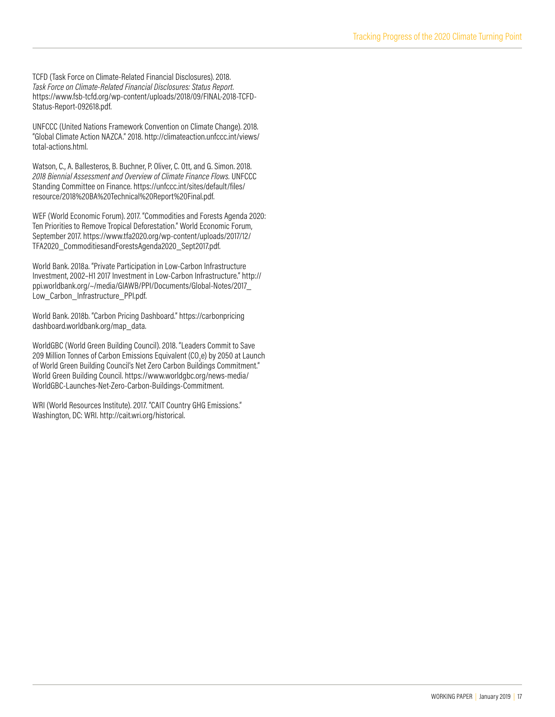TCFD (Task Force on Climate-Related Financial Disclosures). 2018. *Task Force on Climate-Related Financial Disclosures: Status Report*. https://www.fsb-tcfd.org/wp-content/uploads/2018/09/FINAL-2018-TCFD-Status-Report-092618.pdf.

UNFCCC (United Nations Framework Convention on Climate Change). 2018. "Global Climate Action NAZCA." 2018. http://climateaction.unfccc.int/views/ total-actions.html.

Watson, C., A. Ballesteros, B. Buchner, P. Oliver, C. Ott, and G. Simon. 2018. *2018 Biennial Assessment and Overview of Climate Finance Flows.* UNFCCC Standing Committee on Finance. https://unfccc.int/sites/default/files/ resource/2018%20BA%20Technical%20Report%20Final.pdf.

WEF (World Economic Forum). 2017. "Commodities and Forests Agenda 2020: Ten Priorities to Remove Tropical Deforestation." World Economic Forum, September 2017. https://www.tfa2020.org/wp-content/uploads/2017/12/ TFA2020\_CommoditiesandForestsAgenda2020\_Sept2017.pdf.

World Bank. 2018a. "Private Participation in Low-Carbon Infrastructure Investment, 2002–H1 2017 Investment in Low-Carbon Infrastructure." http:// ppi.worldbank.org/~/media/GIAWB/PPI/Documents/Global-Notes/2017\_ Low Carbon Infrastructure PPI.pdf.

World Bank. 2018b. "Carbon Pricing Dashboard." https://carbonpricing dashboard.worldbank.org/map\_data.

WorldGBC (World Green Building Council). 2018. "Leaders Commit to Save 209 Million Tonnes of Carbon Emissions Equivalent (CO<sub>2</sub>e) by 2050 at Launch of World Green Building Council's Net Zero Carbon Buildings Commitment." World Green Building Council. https://www.worldgbc.org/news-media/ WorldGBC-Launches-Net-Zero-Carbon-Buildings-Commitment.

WRI (World Resources Institute). 2017. "CAIT Country GHG Emissions." Washington, DC: WRI. http://cait.wri.org/historical.